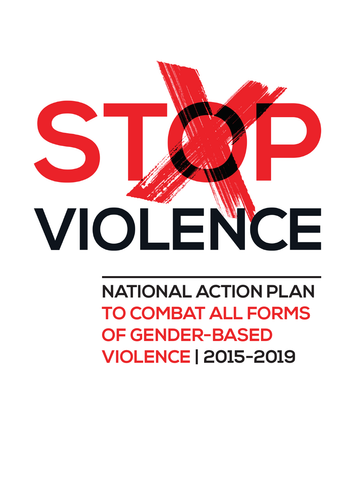

# **NATIONAL ACTION PLAN TO COMBAT ALL FORMS OF GENDER-BASED VIOLENCE | 2015-2019**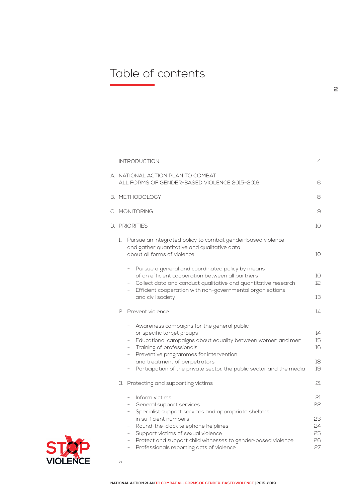# Table of contents

|    |                                                                                                                                                                                                                                                                                                                                                                                                                   | 4                                                                                                                                                                                                                                  |
|----|-------------------------------------------------------------------------------------------------------------------------------------------------------------------------------------------------------------------------------------------------------------------------------------------------------------------------------------------------------------------------------------------------------------------|------------------------------------------------------------------------------------------------------------------------------------------------------------------------------------------------------------------------------------|
|    |                                                                                                                                                                                                                                                                                                                                                                                                                   | 6                                                                                                                                                                                                                                  |
|    |                                                                                                                                                                                                                                                                                                                                                                                                                   | 8                                                                                                                                                                                                                                  |
|    |                                                                                                                                                                                                                                                                                                                                                                                                                   | 9                                                                                                                                                                                                                                  |
|    |                                                                                                                                                                                                                                                                                                                                                                                                                   | 10                                                                                                                                                                                                                                 |
| 1. | Pursue an integrated policy to combat gender-based violence<br>and gather quantitative and qualitative data<br>about all forms of violence                                                                                                                                                                                                                                                                        | 10                                                                                                                                                                                                                                 |
|    | Pursue a general and coordinated policy by means<br>$\overline{\phantom{a}}$<br>of an efficient cooperation between all partners<br>Collect data and conduct qualitative and quantitative research<br>Efficient cooperation with non-governmental organisations<br>$\overline{\phantom{a}}$<br>and civil society                                                                                                  | 10<br>12<br>13                                                                                                                                                                                                                     |
|    |                                                                                                                                                                                                                                                                                                                                                                                                                   | 14                                                                                                                                                                                                                                 |
|    | Awareness campaigns for the general public<br>$\sim$<br>or specific target groups<br>Educational campaigns about equality between women and men<br>$\overline{\phantom{0}}$<br>Training of professionals<br>$\sim$<br>Preventive programmes for intervention<br>$ \,$<br>and treatment of perpetrators                                                                                                            | 14<br>15<br>16<br>18                                                                                                                                                                                                               |
|    | Participation of the private sector, the public sector and the media<br>$\overline{\phantom{a}}$                                                                                                                                                                                                                                                                                                                  | 19                                                                                                                                                                                                                                 |
|    |                                                                                                                                                                                                                                                                                                                                                                                                                   | 21                                                                                                                                                                                                                                 |
|    | - Inform victims<br>- General support services<br>Specialist support services and appropriate shelters<br>$-$<br>in sufficient numbers<br>Round-the-clock telephone helplines<br>$\overline{\phantom{a}}$<br>Support victims of sexual violence<br>$\qquad \qquad -$<br>Protect and support child witnesses to gender-based violence<br>-<br>Professionals reporting acts of violence<br>$\overline{\phantom{a}}$ | 21<br>22<br>23<br>24<br>25<br>26<br>27                                                                                                                                                                                             |
|    |                                                                                                                                                                                                                                                                                                                                                                                                                   | <b>INTRODUCTION</b><br>A. NATIONAL ACTION PLAN TO COMBAT<br>ALL FORMS OF GENDER-BASED VIOLENCE 2015-2019<br><b>B. METHODOLOGY</b><br>C. MONITORING<br>D. PRIORITIES<br>2. Prevent violence<br>3. Protecting and supporting victims |



 $\rightarrow$ 

**NATIONAL ACTION PLAN TO COMBAT ALL FORMS OF GENDER-BASED VIOLENCE | 2015-2019**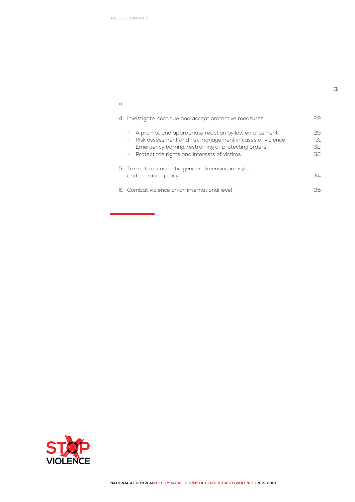TABLE OF CONTENTS

| $\rightarrow$                                                                                                                                                                                                                |                      |
|------------------------------------------------------------------------------------------------------------------------------------------------------------------------------------------------------------------------------|----------------------|
| 4. Investigate, continue and accept protective measures                                                                                                                                                                      | 29                   |
| - A prompt and appropriate reaction by law enforcement<br>Risk assessment and risk management in cases of violence<br>- Emergency barring, restraining or protecting orders<br>- Protect the rights and interests of victims | 29<br>31<br>32<br>32 |
| 5. Take into account the gender dimension in asylum<br>and migration policy                                                                                                                                                  | 34                   |
| 6. Combat violence on an international level                                                                                                                                                                                 | 35                   |

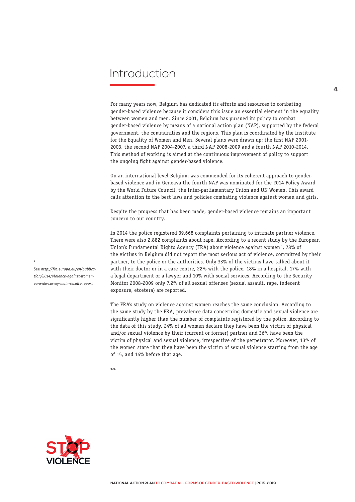# Introduction

For many years now, Belgium has dedicated its efforts and resources to combating gender-based violence because it considers this issue an essential element in the equality between women and men. Since 2001, Belgium has pursued its policy to combat gender-based violence by means of a national action plan (NAP), supported by the federal government, the communities and the regions. This plan is coordinated by the Institute for the Equality of Women and Men. Several plans were drawn up: the first NAP 2001- 2003, the second NAP 2004-2007, a third NAP 2008-2009 and a fourth NAP 2010-2014. This method of working is aimed at the continuous improvement of policy to support the ongoing fight against gender-based violence.

On an international level Belgium was commended for its coherent approach to genderbased violence and in Geneava the fourth NAP was nominated for the 2014 Policy Award by the World Future Council, the Inter-parliamentary Union and UN Women. This award calls attention to the best laws and policies combating violence against women and girls.

Despite the progress that has been made, gender-based violence remains an important concern to our country.

In 2014 the police registered 39,668 complaints pertaining to intimate partner violence. There were also 2,882 complaints about rape. According to a recent study by the European Union's Fundamental Rights Agency (FRA) about violence against women<sup>1</sup>, 78% of the victims in Belgium did not report the most serious act of violence, committed by their partner, to the police or the authorities. Only 33% of the victims have talked about it with their doctor or in a care centre, 22% with the police, 18% in a hospital, 17% with a legal department or a lawyer and 10% with social services. According to the Security Monitor 2008-2009 only 7.2% of all sexual offenses (sexual assault, rape, indecent exposure, etcetera) are reported.

The FRA's study on violence against women reaches the same conclusion. According to the same study by the FRA, prevalence data concerning domestic and sexual violence are significantly higher than the number of complaints registered by the police. According to the data of this study, 24% of all women declare they have been the victim of physical and/or sexual violence by their (current or former) partner and 36% have been the victim of physical and sexual violence, irrespective of the perpetrator. Moreover, 13% of the women state that they have been the victim of sexual violence starting from the age of 15, and 14% before that age.

 $\rightarrow$ 



See *http://fra.europa.eu/en/publication/2014/violence-against-womeneu-wide-survey-main-results-report*

**4**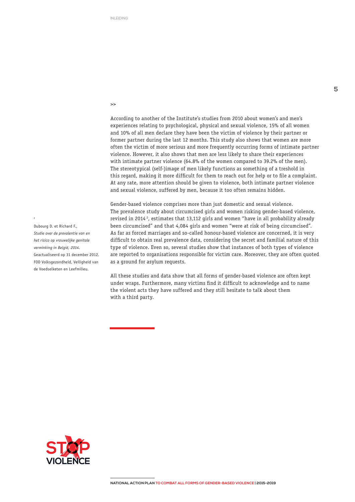>>

According to another of the Institute's studies from 2010 about women's and men's experiences relating to psychological, physical and sexual violence, 15% of all women and 10% of all men declare they have been the victim of violence by their partner or former partner during the last 12 months. This study also shows that women are more often the victim of more serious and more frequently occurring forms of intimate partner violence. However, it also shows that men are less likely to share their experiences with intimate partner violence (64.8% of the women compared to 39.2% of the men). The stereotypical (self-)image of men likely functions as something of a treshold in this regard, making it more difficult for them to reach out for help or to file a complaint. At any rate, more attention should be given to violence, both intimate partner violence and sexual violence, suffered by men, because it too often remains hidden.

Gender-based violence comprises more than just domestic and sexual violence. The prevalence study about circumcised girls and women risking gender-based violence, revised in 2014 2, estimates that 13,112 girls and women "have in all probability already been circumcised" and that 4,084 girls and women "were at risk of being circumcised". As far as forced marriages and so-called honour-based violence are concerned, it is very difficult to obtain real prevalence data, considering the secret and familial nature of this type of violence. Even so, several studies show that instances of both types of violence are reported to organisations responsible for victim care. Moreover, they are often quoted as a ground for asylum requests.

All these studies and data show that all forms of gender-based violence are often kept under wraps. Furthermore, many victims find it difficult to acknowledge and to name the violent acts they have suffered and they still hesitate to talk about them with a third party.

Dubourg D. et Richard F., *Studie over de prevalentie van en het risico op vrouwelijke genitale verminking in België, 2014*. Geactualiseerd op 31 december 2012. FOD Volksgezondheid, Veiligheid van de Voedselketen en Leefmilieu.

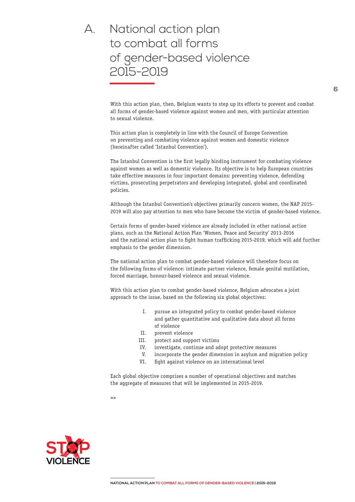# A. National action plan to combat all forms of gender-based violence 2015-2019

With this action plan, then, Belgium wants to step up its efforts to prevent and combat all forms of gender-based violence against women and men, with particular attention to sexual violence.

This action plan is completely in line with the Council of Europe Convention on preventing and combating violence against women and domestic violence (hereinafter called 'Istanbul Convention').

The Istanbul Convention is the first legally binding instrument for combating violence against women as well as domestic violence. Its objective is to help European countries take effective measures in four important domains: preventing violence, defending victims, prosecuting perpetrators and developing integrated, global and coordinated policies.

Although the Istanbul Convention's objectives primarily concern women, the NAP 2015- 2019 will also pay attention to men who have become the victim of gender-based violence.

Certain forms of gender-based violence are already included in other national action plans, such as the National Action Plan 'Women, Peace and Security' 2013-2016 and the national action plan to fight human trafficking 2015-2019, which will add further emphasis to the gender dimension.

The national action plan to combat gender-based violence will therefore focus on the following forms of violence: intimate partner violence, female genital mutilation, forced marriage, honour-based violence and sexual violence.

With this action plan to combat gender-based violence, Belgium advocates a joint approach to the issue, based on the following six global objectives:

- I. pursue an integrated policy to combat gender-based violence and gather quantitative and qualitative data about all forms of violence
- II. prevent violence
- III. protect and support victims
- IV. investigate, continue and adopt protective measures
- V. incorporate the gender dimension in asylum and migration policy
- VI. fight against violence on an international level

Each global objective comprises a number of operational objectives and matches the aggregate of measures that will be implemented in 2015-2019.

 $\sim$ 

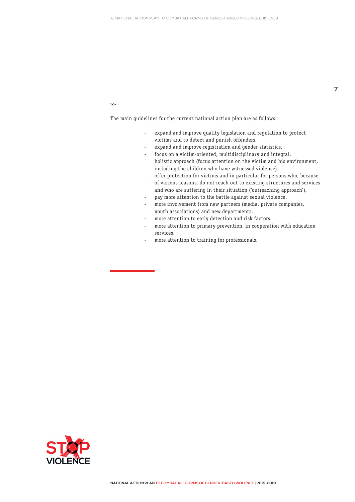#### $\rightarrow$

The main guidelines for the current national action plan are as follows:

- expand and improve quality legislation and regulation to protect victims and to detect and punish offenders.
- expand and improve registration and gender statistics.
- focus on a victim-oriented, multidisciplinary and integral, holistic approach (focus attention on the victim and his environment, including the children who have witnessed violence).
- offer protection for victims and in particular for persons who, because of various reasons, do not reach out to existing structures and services and who are suffering in their situation ('outreaching approach').
- pay more attention to the battle against sexual violence.
- more involvement from new partners (media, private companies, youth associations) and new departments.
- more attention to early detection and risk factors.
- more attention to primary prevention, in cooperation with education services.
- more attention to training for professionals.

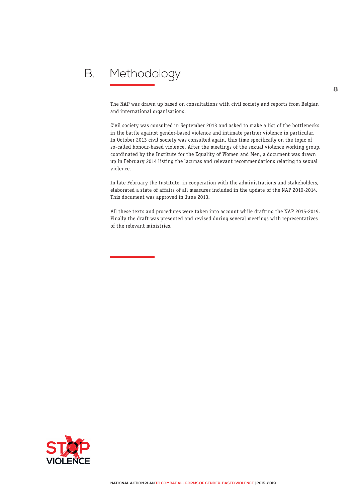# B. Methodology

The NAP was drawn up based on consultations with civil society and reports from Belgian and international organisations.

Civil society was consulted in September 2013 and asked to make a list of the bottlenecks in the battle against gender-based violence and intimate partner violence in particular. In October 2013 civil society was consulted again, this time specifically on the topic of so-called honour-based violence. After the meetings of the sexual violence working group, coordinated by the Institute for the Equality of Women and Men, a document was drawn up in February 2014 listing the lacunas and relevant recommendations relating to sexual violence.

In late February the Institute, in cooperation with the administrations and stakeholders, elaborated a state of affairs of all measures included in the update of the NAP 2010-2014. This document was approved in June 2013.

All these texts and procedures were taken into account while drafting the NAP 2015-2019. Finally the draft was presented and revised during several meetings with representatives of the relevant ministries.

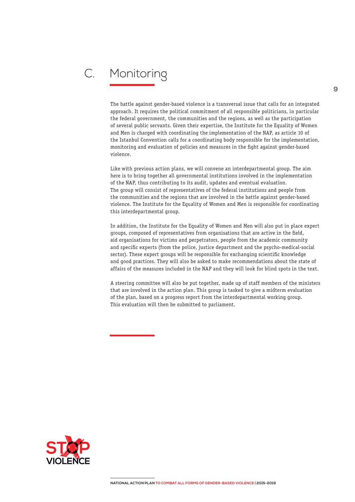# C. Monitoring

The battle against gender-based violence is a transversal issue that calls for an integrated approach. It requires the political commitment of all responsible politicians, in particular the federal government, the communities and the regions, as well as the participation of several public servants. Given their expertise, the Institute for the Equality of Women and Men is charged with coordinating the implementation of the NAP, as article 10 of the Istanbul Convention calls for a coordinating body responsible for the implementation, monitoring and evaluation of policies and measures in the fight against gender-based violence.

Like with previous action plans, we will convene an interdepartmental group. The aim here is to bring together all governmental institutions involved in the implementation of the NAP, thus contributing to its audit, updates and eventual evaluation. The group will consist of representatives of the federal institutions and people from the communities and the regions that are involved in the battle against gender-based violence. The Institute for the Equality of Women and Men is responsible for coordinating this interdepartmental group.

In addition, the Institute for the Equality of Women and Men will also put in place expert groups, composed of representatives from organisations that are active in the field, aid organisations for victims and perpetrators, people from the academic community and specific experts (from the police, justice department and the psycho-medical-social sector). These expert groups will be responsible for exchanging scientific knowledge and good practices. They will also be asked to make recommendations about the state of affairs of the measures included in the NAP and they will look for blind spots in the text.

A steering committee will also be put together, made up of staff members of the ministers that are involved in the action plan. This group is tasked to give a midterm evaluation of the plan, based on a progress report from the interdepartmental working group. This evaluation will then be submitted to parliament.

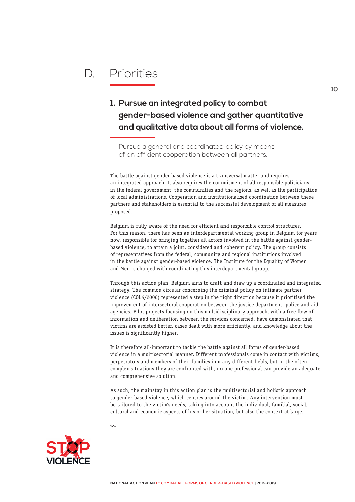# D. Priorities

### **1. Pursue an integrated policy to combat gender-based violence and gather quantitative and qualitative data about all forms of violence.**

Pursue a general and coordinated policy by means of an efficient cooperation between all partners.

The battle against gender-based violence is a transversal matter and requires an integrated approach. It also requires the commitment of all responsible politicians in the federal government, the communities and the regions, as well as the participation of local administrations. Cooperation and institutionalised coordination between these partners and stakeholders is essential to the successful development of all measures proposed.

Belgium is fully aware of the need for efficient and responsible control structures. For this reason, there has been an interdepartmental working group in Belgium for years now, responsible for bringing together all actors involved in the battle against genderbased violence, to attain a joint, considered and coherent policy. The group consists of representatives from the federal, community and regional institutions involved in the battle against gender-based violence. The Institute for the Equality of Women and Men is charged with coordinating this interdepartmental group.

Through this action plan, Belgium aims to draft and draw up a coordinated and integrated strategy. The common circular concerning the criminal policy on intimate partner violence (COL4/2006) represented a step in the right direction because it prioritised the improvement of intersectoral cooperation between the justice department, police and aid agencies. Pilot projects focusing on this multidisciplinary approach, with a free flow of information and deliberation between the services concerned, have demonstrated that victims are assisted better, cases dealt with more efficiently, and knowledge about the issues is significantly higher.

It is therefore all-important to tackle the battle against all forms of gender-based violence in a multisectorial manner. Different professionals come in contact with victims, perpetrators and members of their families in many different fields, but in the often complex situations they are confronted with, no one professional can provide an adequate and comprehensive solution.

As such, the mainstay in this action plan is the multisectorial and holistic approach to gender-based violence, which centres around the victim. Any intervention must be tailored to the victim's needs, taking into account the individual, familial, social, cultural and economic aspects of his or her situation, but also the context at large.

 $\rightarrow$ 



**10**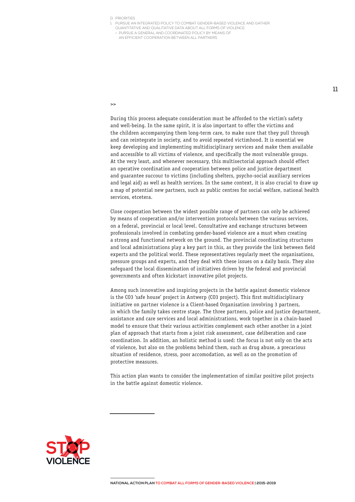- 1. PURSUE AN INTEGRATED POLICY TO COMBAT GENDER-BASED VIOLENCE AND GATHER
	- QUANTITATIVE AND QUALITATIVE DATA ABOUT ALL FORMS OF VIOLENCE > PURSUE A GENERAL AND COORDINATED POLICY BY MEANS OF
	- AN EFFICIENT COOPERATION BETWEEN ALL PARTNERS

>>

During this process adequate consideration must be afforded to the victim's safety and well-being. In the same spirit, it is also important to offer the victims and the children accompanying them long-term care, to make sure that they pull through and can reintegrate in society, and to avoid repeated victimhood. It is essential we keep developing and implementing multidisciplinary services and make them available and accessible to all victims of violence, and specifically the most vulnerable groups. At the very least, and whenever necessary, this multisectorial approach should effect an operative coordination and cooperation between police and justice department and guarantee succour to victims (including shelters, psycho-social auxiliary services and legal aid) as well as health services. In the same context, it is also crucial to draw up a map of potential new partners, such as public centres for social welfare, national health services, etcetera.

Close cooperation between the widest possible range of partners can only be achieved by means of cooperation and/or intervention protocols between the various services, on a federal, provincial or local level. Consultative and exchange structures between professionals involved in combating gender-based violence are a must when creating a strong and functional network on the ground. The provincial coordinating structures and local administrations play a key part in this, as they provide the link between field experts and the political world. These representatives regularly meet the organisations, pressure groups and experts, and they deal with these issues on a daily basis. They also safeguard the local dissemination of initiatives driven by the federal and provincial governments and often kickstart innovative pilot projects.

Among such innovative and inspiring projects in the battle against domestic violence is the CO3 'safe house' project in Antwerp (CO3 project). This first multidisciplinary initiative on partner violence is a Client-based Organisation involving 3 partners, in which the family takes centre stage. The three partners, police and justice department, assistance and care services and local administrations, work together in a chain-based model to ensure that their various activities complement each other another in a joint plan of approach that starts from a joint risk assessment, case deliberation and case coordination. In addition, an holistic method is used: the focus is not only on the acts of violence, but also on the problems behind them, such as drug abuse, a precarious situation of residence, stress, poor accomodation, as well as on the promotion of protective measures.

This action plan wants to consider the implementation of similar positive pilot projects in the battle against domestic violence.

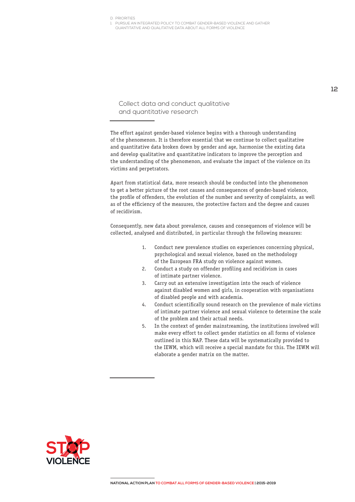1. PURSUE AN INTEGRATED POLICY TO COMBAT GENDER-BASED VIOLENCE AND GATHER QUANTITATIVE AND QUALITATIVE DATA ABOUT ALL FORMS OF VIOLENCE

Collect data and conduct qualitative and quantitative research

The effort against gender-based violence begins with a thorough understanding of the phenomenon. It is therefore essential that we continue to collect qualitative and quantitative data broken down by gender and age, harmonise the existing data and develop qualitative and quantitative indicators to improve the perception and the understanding of the phenomenon, and evaluate the impact of the violence on its victims and perpetrators.

Apart from statistical data, more research should be conducted into the phenomenon to get a better picture of the root causes and consequences of gender-based violence, the profile of offenders, the evolution of the number and severity of complaints, as well as of the efficiency of the measures, the protective factors and the degree and causes of recidivism.

Consequently, new data about prevalence, causes and consequences of violence will be collected, analysed and distributed, in particular through the following measures:

- 1. Conduct new prevalence studies on experiences concerning physical, psychological and sexual violence, based on the methodology of the European FRA study on violence against women.
- 2. Conduct a study on offender profiling and recidivism in cases of intimate partner violence.
- 3. Carry out an extensive investigation into the reach of violence against disabled women and girls, in cooperation with organisations of disabled people and with academia.
- 4. Conduct scientifically sound research on the prevalence of male victims of intimate partner violence and sexual violence to determine the scale of the problem and their actual needs.
- 5. In the context of gender mainstreaming, the institutions involved will make every effort to collect gender statistics on all forms of violence outlined in this NAP. These data will be systematically provided to the IEWM, which will receive a special mandate for this. The IEWM will elaborate a gender matrix on the matter.

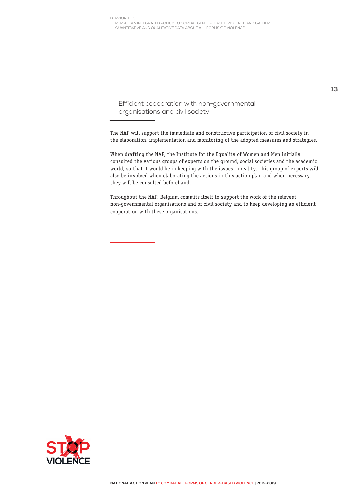1. PURSUE AN INTEGRATED POLICY TO COMBAT GENDER-BASED VIOLENCE AND GATHER QUANTITATIVE AND QUALITATIVE DATA ABOUT ALL FORMS OF VIOLENCE

Efficient cooperation with non-governmental organisations and civil society

The NAP will support the immediate and constructive participation of civil society in the elaboration, implementation and monitoring of the adopted measures and strategies.

When drafting the NAP, the Institute for the Equality of Women and Men initially consulted the various groups of experts on the ground, social societies and the academic world, so that it would be in keeping with the issues in reality. This group of experts will also be involved when elaborating the actions in this action plan and when necessary, they will be consulted beforehand.

Throughout the NAP, Belgium commits itself to support the work of the relevent non-governmental organisations and of civil society and to keep developing an efficient cooperation with these organisations.

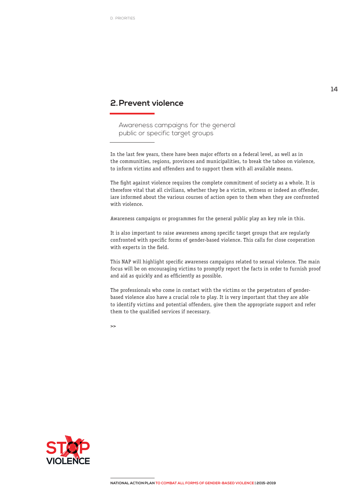### **2.Prevent violence**

Awareness campaigns for the general public or specific target groups

In the last few years, there have been major efforts on a federal level, as well as in the communities, regions, provinces and municipalities, to break the taboo on violence, to inform victims and offenders and to support them with all available means.

The fight against violence requires the complete commitment of society as a whole. It is therefore vital that all civilians, whether they be a victim, witness or indeed an offender, iare informed about the various courses of action open to them when they are confronted with violence.

Awareness campaigns or programmes for the general public play an key role in this.

It is also important to raise awareness among specific target groups that are regularly confronted with specific forms of gender-based violence. This calls for close cooperation with experts in the field.

This NAP will highlight specific awareness campaigns related to sexual violence. The main focus will be on encouraging victims to promptly report the facts in order to furnish proof and aid as quickly and as efficiently as possible.

The professionals who come in contact with the victims or the perpetrators of genderbased violence also have a crucial role to play. It is very important that they are able to identify victims and potential offenders, give them the appropriate support and refer them to the qualified services if necessary.

 $\rightarrow$ 

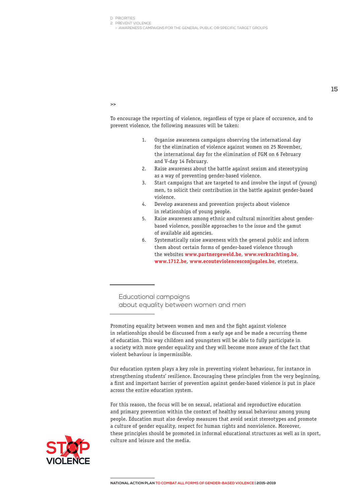D. PRIORITIES 2. PREVENT VIOLENCE

> AWARENESS CAMPAIGNS FOR THE GENERAL PUBLIC OR SPECIFIC TARGET GROUPS

>>

To encourage the reporting of violence, regardless of type or place of occurence, and to prevent violence, the following measures will be taken:

- 1. Organise awareness campaigns observing the international day for the elimination of violence against women on 25 November, the international day for the elimination of FGM on 6 February and V-day 14 February.
- 2. Raise awareness about the battle against sexism and stereotyping as a way of preventing gender-based violence.
- 3. Start campaigns that are targeted to and involve the input of (young) men, to solicit their contribution in the battle against gender-based violence.
- 4. Develop awareness and prevention projects about violence in relationships of young people.
- 5. Raise awareness among ethnic and cultural minorities about genderbased violence, possible approaches to the issue and the gamut of available aid agencies.
- 6. Systematically raise awareness with the general public and inform them about certain forms of gender-based violence through the websites **www.partnergeweld.be**, **www.verkrachting.be**, **www.1712.be**, **www.ecouteviolencesconjugales.be**, etcetera.

Educational campaigns about equality between women and men

Our education system plays a key role in preventing violent behaviour, for instance in strengthening students' resilience. Encouraging these principles from the very beginning, a first and important barrier of prevention against gender-based violence is put in place across the entire education system.

For this reason, the focus will be on sexual, relational and reproductive education and primary prevention within the context of healthy sexual behaviour among young people. Education must also develop measures that avoid sexist stereotypes and promote a culture of gender equality, respect for human rights and nonviolence. Moreover, these principles should be promoted in informal educational structures as well as in sport, culture and leisure and the media.



**15**

Promoting equality between women and men and the fight against violence in relationships should be discussed from a early age and be made a recurring theme of education. This way children and youngsters will be able to fully participate in a society with more gender equality and they will become more aware of the fact that violent behaviour is impermissible.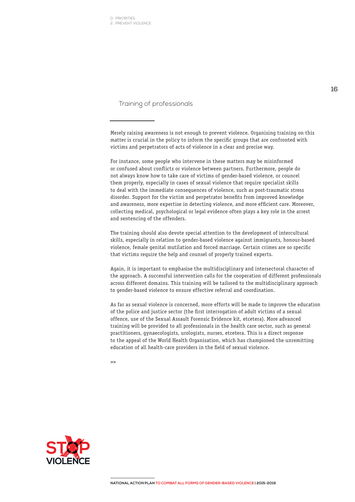D. PRIORITIES 2. PREVENT VIOLENCE

Training of professionals

Merely raising awareness is not enough to prevent violence. Organising training on this matter is crucial in the policy to inform the specific groups that are confronted with victims and perpetrators of acts of violence in a clear and precise way.

For instance, some people who intervene in these matters may be misinformed or confused about conflicts or violence between partners. Furthermore, people do not always know how to take care of victims of gender-based violence, or councel them properly, especially in cases of sexual violence that require specialist skills to deal with the immediate consequences of violence, such as post-traumatic stress disorder. Support for the victim and perpetrator benefits from improved knowledge and awareness, more expertise in detecting violence, and more efficient care. Moreover, collecting medical, psychological or legal evidence often plays a key role in the arrest and sentencing of the offenders.

The training should also devote special attention to the development of intercultural skills, especially in relation to gender-based violence against immigrants, honour-based violence, female genital mutilation and forced marriage. Certain crimes are so specific that victims require the help and counsel of properly trained experts.

Again, it is important to emphasise the multidisciplinary and intersectoral character of the approach. A successful intervention calls for the cooperation of different professionals across different domains. This training will be tailored to the multidisciplinary approach to gender-based violence to ensure effective referral and coordination.

As far as sexual violence is concerned, more efforts will be made to improve the education of the police and justice sector (the first interrogation of adult victims of a sexual offence, use of the Sexual Assault Forensic Evidence kit, etcetera). More advanced training will be provided to all professionals in the health care sector, such as general practitioners, gynaecologists, urologists, nurses, etcetera. This is a direct response to the appeal of the World Health Organisation, which has championed the unremitting education of all health-care providers in the field of sexual violence.

 $\rightarrow$ 

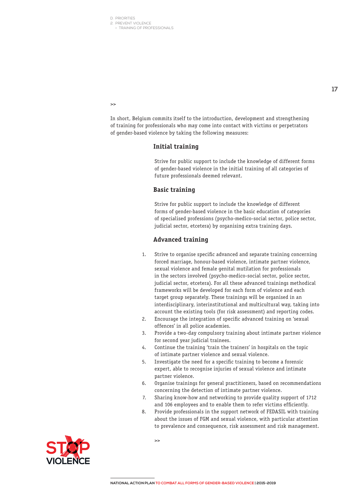2. PREVENT VIOLENCE > TRAINING OF PROFESSIONALS

**17**

>>

In short, Belgium commits itself to the introduction, development and strengthening of training for professionals who may come into contact with victims or perpetrators of gender-based violence by taking the following measures:

#### **Initial training**

Strive for public support to include the knowledge of different forms of gender-based violence in the initial training of all categories of future professionals deemed relevant.

#### **Basic training**

Strive for public support to include the knowledge of different forms of gender-based violence in the basic education of categories of specialised professions (psycho-medico-social sector, police sector, judicial sector, etcetera) by organising extra training days.

#### **Advanced training**

- 1. Strive to organise specific advanced and separate training concerning forced marriage, honour-based violence, intimate partner violence, sexual violence and female genital mutilation for professionals in the sectors involved (psycho-medico-social sector, police sector, judicial sector, etcetera). For all these advanced trainings methodical frameworks will be developed for each form of violence and each target group separately. These trainings will be organised in an interdisciplinary, interinstitutional and multicultural way, taking into account the existing tools (for risk assessment) and reporting codes.
- 2. Encourage the integration of specific advanced training on 'sexual offences' in all police academies.
- 3. Provide a two-day compulsory training about intimate partner violence for second year judicial trainees.
- 4. Continue the training 'train the trainers' in hospitals on the topic of intimate partner violence and sexual violence.
- 5. Investigate the need for a specific training to become a forensic expert, able to recognise injuries of sexual violence and intimate partner violence.
- 6. Organise trainings for general practitioners, based on recommendations concerning the detection of intimate partner violence.
- 7. Sharing know-how and networking to provide quality support of 1712 and 106 employees and to enable them to refer victims efficiently.
- 8. Provide professionals in the support network of FEDASIL with training about the issues of FGM and sexual violence, with particular attention to prevalence and consequence, risk assessment and risk management.

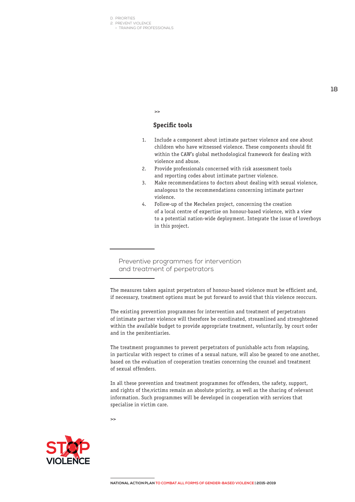2. PREVENT VIOLENCE

> TRAINING OF PROFESSIONALS

#### **Specific tools**

 $\sim$ 

- 1. Include a component about intimate partner violence and one about children who have witnessed violence. These components should fit within the CAW's global methodological framework for dealing with violence and abuse.
- 2. Provide professionals concerned with risk assessment tools and reporting codes about intimate partner violence.
- 3. Make recommendations to doctors about dealing with sexual violence, analogous to the recommendations concerning intimate partner violence.
- 4. Follow-up of the Mechelen project, concerning the creation of a local centre of expertise on honour-based violence, with a view to a potential nation-wide deployment. Integrate the issue of loverboys in this project.

Preventive programmes for intervention and treatment of perpetrators

The measures taken against perpetrators of honour-based violence must be efficient and, if necessary, treatment options must be put forward to avoid that this violence reoccurs.

The existing prevention programmes for intervention and treatment of perpetrators of intimate partner violence will therefore be coordinated, streamlined and strenghtened within the available budget to provide appropriate treatment, voluntarily, by court order and in the penitentiaries.

The treatment programmes to prevent perpetrators of punishable acts from relapsing, in particular with respect to crimes of a sexual nature, will also be geared to one another, based on the evaluation of cooperation treaties concerning the counsel and treatment of sexual offenders.

In all these prevention and treatment programmes for offenders, the safety, support, and rights of the,victims remain an absolute priority, as well as the sharing of relevant information. Such programmes will be developed in cooperation with services that specialise in victim care.

 $\rightarrow$ 

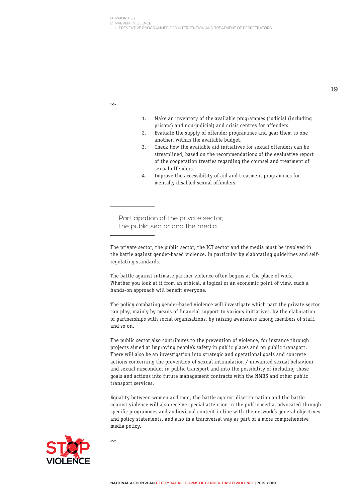D. PRIORITIES 2. PREVENT VIOLENCE

> PREVENTIVE PROGRAMMES FOR INTERVENTION AND TREATMENT OF PERPETRATORS

>>

- 1. Make an inventory of the available programmes (judicial (including prisons) and non-judicial) and crisis centres for offenders
- 2. Evaluate the supply of offender programmes and gear them to one another, within the available budget.
- 3. Check how the available aid initiatives for sexual offenders can be streamlined, based on the recommendations of the evaluative report of the cooperation treaties regarding the counsel and treatment of sexual offenders.
- 4. Improve the accessibility of aid and treatment programmes for mentally disabled sexual offenders.

Participation of the private sector, the public sector and the media

The battle against intimate partner violence often begins at the place of work. Whether you look at it from an ethical, a logical or an economic point of view, such a hands-on approach will benefit everyone.

The policy combating gender-based violence will investigate which part the private sector can play, mainly by means of financial support to various initiatives, by the elaboration of partnerships with social organisations, by raising awareness among members of staff, and so on.

The public sector also contributes to the prevention of violence, for instance through projects aimed at improving people's safety in public places and on public transport. There will also be an investigation into strategic and operational goals and concrete actions concerning the prevention of sexual intimidation / unwanted sexual behaviour and sexual misconduct in public transport and into the possibility of including those goals and actions into future management contracts with the NMBS and other public transport services.

Equality between women and men, the battle against discrimination and the battle against violence will also receive special attention in the public media, advocated through specific programmes and audiovisual content in line with the network's general objectives and policy statements, and also in a transversal way as part of a more comprehensive media policy.



 $\rightarrow$ 

The private sector, the public sector, the ICT sector and the media must be involved in the battle against gender-based violence, in particular by elaborating guidelines and selfregulating standards.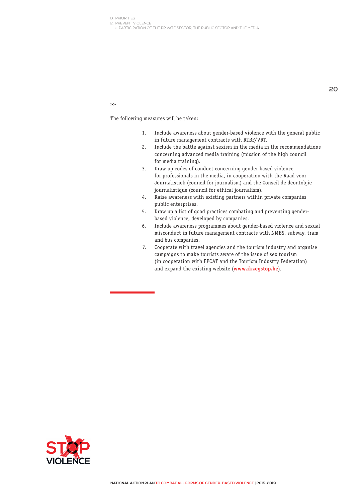D. PRIORITIES 2. PREVENT VIOLENCE

> PARTICIPATION OF THE PRIVATE SECTOR, THE PUBLIC SECTOR AND THE MEDIA

 $\rightarrow$ 

- 1. Include awareness about gender-based violence with the general public in future management contracts with RTBF/VRT.
- 2. Include the battle against sexism in the media in the recommendations concerning advanced media training (mission of the high council for media training).
- 3. Draw up codes of conduct concerning gender-based violence for professionals in the media, in cooperation with the Raad voor Journalistiek (council for journalism) and the Conseil de déontolgie journalistique (council for ethical journalism).
- 4. Raise awareness with existing partners within private companies public enterprises.
- 5. Draw up a list of good practices combating and preventing genderbased violence, developed by companies.
- 6. Include awareness programmes about gender-based violence and sexual misconduct in future management contracts with NMBS, subway, tram and bus companies.
- 7. Cooperate with travel agencies and the tourism industry and organise campaigns to make tourists aware of the issue of sex tourism (in cooperation with EPCAT and the Tourism Industry Federation) and expand the existing website (**www.ikzegstop.be**).

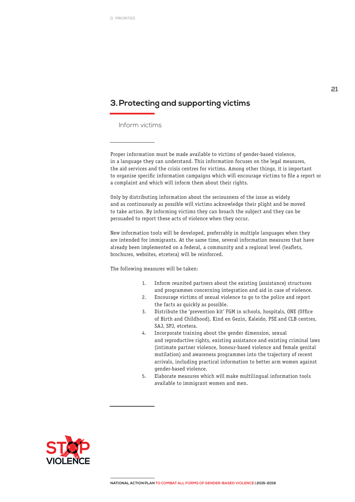### **3.Protecting and supporting victims**

Inform victims

Proper information must be made available to victims of gender-based violence, in a language they can understand. This information focuses on the legal measures, the aid services and the crisis centres for victims. Among other things, it is important to organise specific information campaigns which will encourage victims to file a report or a complaint and which will inform them about their rights.

Only by distributing information about the seriousness of the issue as widely and as continuously as possible will victims acknowledge their plight and be moved to take action. By informing victims they can broach the subject and they can be persuaded to report these acts of violence when they occur.

New information tools will be developed, preferrably in multiple languages when they are intended for immigrants. At the same time, several information measures that have already been implemented on a federal, a community and a regional level (leaflets, brochures, websites, etcetera) will be reinforced.

- 1. Inform reunited partners about the existing (assistance) structures and programmes concerning integration and aid in case of violence.
- 2. Encourage victims of sexual violence to go to the police and report the facts as quickly as possible.
- 3. Distribute the 'prevention kit' FGM in schools, hospitals, ONE (Office of Birth and Childhood), Kind en Gezin, Kaleido, PSE and CLB centres, SAJ, SPJ, etcetera.
- 4. Incorporate training about the gender dimension, sexual and reproductive rights, existing assistance and existing criminal laws (intimate partner violence, honour-based violence and female genital mutilation) and awareness programmes into the trajectory of recent arrivals, including practical information to better arm women against gender-based violence.
- 5. Elaborate measures which will make multilingual information tools available to immigrant women and men.

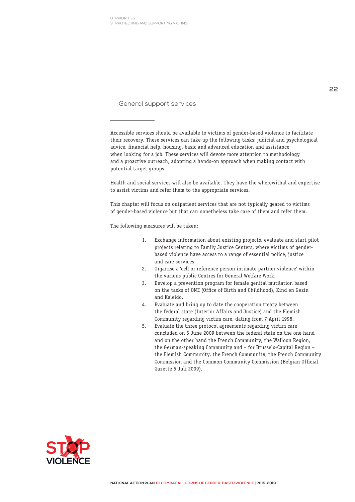3. PROTECTING AND SUPPORTING VICTIMS

General support services

Accessible services should be available to victims of gender-based violence to facilitate their recovery. These services can take up the following tasks: judicial and psychological advice, financial help, housing, basic and advanced education and assistance when looking for a job. These services will devote more attention to methodology and a proactive outreach, adopting a hands-on approach when making contact with potential target groups.

Health and social services will also be available. They have the wherewithal and expertise to assist victims and refer them to the appropriate services.

This chapter will focus on outpatient services that are not typically geared to victims of gender-based violence but that can nonetheless take care of them and refer them.

- 1. Exchange information about existing projects, evaluate and start pilot projects relating to Family Justice Centers, where victims of genderbased violence have access to a range of essential police, justice and care services.
- 2. Organise a 'cell or reference person intimate partner violence' within the various public Centres for General Welfare Work.
- 3. Develop a prevention program for female genital mutilation based on the tasks of ONE (Office of Birth and Childhood), Kind en Gezin and Kaleido.
- 4. Evaluate and bring up to date the cooperation treaty between the federal state (Interior Affairs and Justice) and the Flemish Community regarding victim care, dating from 7 April 1998.
- 5. Evaluate the three protocol agreements regarding victim care concluded on 5 June 2009 between the federal state on the one hand and on the other hand the French Community, the Walloon Region, the German-speaking Community and – for Brussels-Capital Region – the Flemish Community, the French Community, the French Community Commission and the Common Community Commission (Belgian Official Gazette 5 Juli 2009).

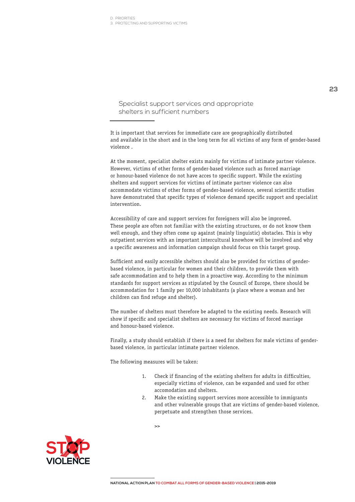3. PROTECTING AND SUPPORTING VICTIMS

Specialist support services and appropriate shelters in sufficient numbers

It is important that services for immediate care are geographically distributed and available in the short and in the long term for all victims of any form of gender-based violence .

At the moment, specialist shelter exists mainly for victims of intimate partner violence. However, victims of other forms of gender-based violence such as forced marriage or honour-based violence do not have acces to specific support. While the existing shelters and support services for victims of intimate partner violence can also accommodate victims of other forms of gender-based violence, several scientific studies have demonstrated that specific types of violence demand specific support and specialist intervention.

Accessibility of care and support services for foreigners will also be improved. These people are often not familiar with the existing structures, or do not know them well enough, and they often come up against (mainly linguistic) obstacles. This is why outpatient services with an important intercultural knowhow will be involved and why a specific awareness and information campaign should focus on this target group.

Sufficient and easily accessible shelters should also be provided for victims of genderbased violence, in particular for women and their children, to provide them with safe accommodation and to help them in a proactive way. According to the minimum standards for support services as stipulated by the Council of Europe, there should be accommodation for 1 family per 10,000 inhabitants (a place where a woman and her children can find refuge and shelter).

The number of shelters must therefore be adapted to the existing needs. Research will show if specific and specialist shelters are necessary for victims of forced marriage and honour-based violence.

Finally, a study should establish if there is a need for shelters for male victims of genderbased violence, in particular intimate partner violence.

The following measures will be taken:

- 1. Check if financing of the existing shelters for adults in difficulties, especially victims of violence, can be expanded and used for other accomodation and shelters.
- 2. Make the existing support services more accessible to immigrants and other vulnerable groups that are victims of gender-based violence, perpetuate and strengthen those services.

 $\overline{\phantom{a}}$ 

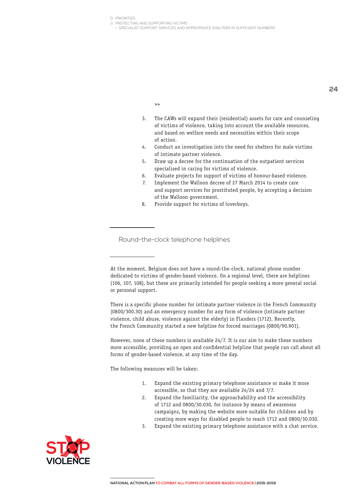3. PROTECTING AND SUPPORTING VICTIMS

> SPECIALIST SUPPORT SERVICES AND APPROPRIATE SHELTERS IN SUFFICIENT NUMBERS

>>

- 3. The CAWs will expand their (residential) assets for care and counseling of victims of violence, taking into account the available resources, and based on welfare needs and necessities within their scope of action.
- 4. Conduct an investigation into the need for shelters for male victims of intimate partner violence.
- 5. Draw up a decree for the continuation of the outpatient services specialised in caring for victims of violence.
- 6. Evaluate projects for support of victims of honour-based violence.
- 7. Implement the Walloon decree of 27 March 2014 to create care and support services for prostituted people, by accepting a decision of the Walloon government.
- 8. Provide support for victims of loverboys.

Round-the-clock telephone helplines

There is a specific phone number for intimate partner violence in the French Community (0800/300.30) and an emergency number for any form of violence (intimate partner violence, child abuse, violence against the elderly) in Flanders (1712). Recently, the French Community started a new helpline for forced marriages (0800/90.901).

However, none of these numbers is available 24/7. It is our aim to make these numbers more accessible, providing an open and confidential helpline that people can call about all forms of gender-based violence, at any time of the day.

- 1. Expand the existing primary telephone assistance or make it more accessible, so that they are available 24/24 and 7/7.
- 2. Expand the familiarity, the approachability and the accessibility of 1712 and 0800/30.030, for instance by means of awareness campaigns, by making the website more suitable for children and by creating more ways for disabled people to reach 1712 and 0800/30.030.
- 3. Expand the existing primary telephone assistance with a chat service.



At the moment, Belgium does not have a round-the-clock, national phone number dedicated to victims of gender-based violence. On a regional level, there are helplines (106, 107, 108), but these are primarily intended for people seeking a more general social or personal support.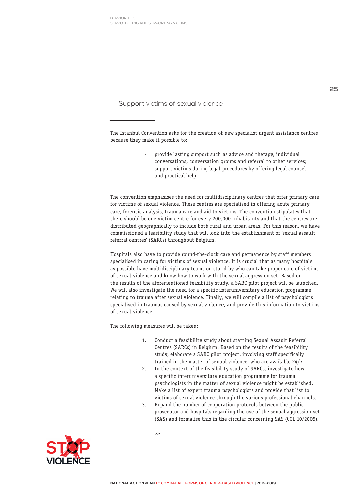3. PROTECTING AND SUPPORTING VICTIMS

Support victims of sexual violence

The Istanbul Convention asks for the creation of new specialist urgent assistance centres because they make it possible to:

- provide lasting support such as advice and therapy, individual conversations, conversation groups and referral to other services;
	- support victims during legal procedures by offering legal counsel and practical help.

The convention emphasises the need for multidisciplinary centres that offer primary care for victims of sexual violence. These centres are specialised in offering acute primary care, forensic analysis, trauma care and aid to victims. The convention stipulates that there should be one victim centre for every 200,000 inhabitants and that the centres are distributed geographically to include both rural and urban areas. For this reason, we have commissioned a feasibility study that will look into the establishment of 'sexual assault referral centres' (SARCs) throughout Belgium.

Hospitals also have to provide round-the-clock care and permanence by staff members specialised in caring for victims of sexual violence. It is crucial that as many hospitals as possible have multidisciplinary teams on stand-by who can take proper care of victims of sexual violence and know how to work with the sexual aggression set. Based on the results of the aforementioned feasibility study, a SARC pilot project will be launched. We will also investigate the need for a specific interuniversitary education programme relating to trauma after sexual violence. Finally, we will compile a list of psychologists specialised in traumas caused by sexual violence, and provide this information to victims of sexual violence.

- 1. Conduct a feasibility study about starting Sexual Assault Referral Centres (SARCs) in Belgium. Based on the results of the feasibility study, elaborate a SARC pilot project, involving staff specifically trained in the matter of sexual violence, who are available 24/7.
- 2. In the context of the feasibility study of SARCs, investigate how a specific interuniversitary education programme for trauma psychologists in the matter of sexual violence might be established. Make a list of expert trauma psychologists and provide that list to victims of sexual violence through the various professional channels.
- 3. Expand the number of cooperation protocols between the public prosecutor and hospitals regarding the use of the sexual aggression set (SAS) and formalise this in the circular concerning SAS (COL 10/2005).

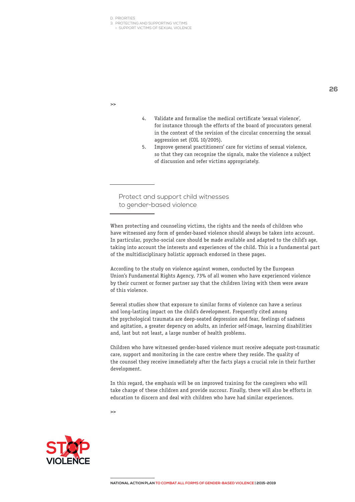3. PROTECTING AND SUPPORTING VICTIMS

> SUPPORT VICTIMS OF SEXUAL VIOLENCE

>>

- 4. Validate and formalise the medical certificate 'sexual violence', for instance through the efforts of the board of procurators general in the context of the revision of the circular concerning the sexual aggression set (COL 10/2005).
- 5. Improve general practitioners' care for victims of sexual violence, so that they can recognise the signals, make the violence a subject of discussion and refer victims appropriately.

Protect and support child witnesses to gender-based violence

When protecting and counseling victims, the rights and the needs of children who have witnessed any form of gender-based violence should always be taken into account. In particular, psycho-social care should be made available and adapted to the child's age, taking into account the interests and experiences of the child. This is a fundamental part of the multidisciplinary holistic approach endorsed in these pages.

According to the study on violence against women, conducted by the European Union's Fundamental Rights Agency, 73% of all women who have experienced violence by their current or former partner say that the children living with them were aware of this violence.

Several studies show that exposure to similar forms of violence can have a serious and long-lasting impact on the child's development. Frequently cited among the psychological traumata are deep-seated depression and fear, feelings of sadness and agitation, a greater depency on adults, an inferior self-image, learning disabilities and, last but not least, a large number of health problems.

Children who have witnessed gender-based violence must receive adequate post-traumatic care, support and monitoring in the care centre where they reside. The quality of the counsel they receive immediately after the facts plays a crucial role in their further development.

In this regard, the emphasis will be on improved training for the caregivers who will take charge of these children and provide succour. Finally, there will also be efforts in education to discern and deal with children who have had similar experiences.

 $\rightarrow$ 



**26**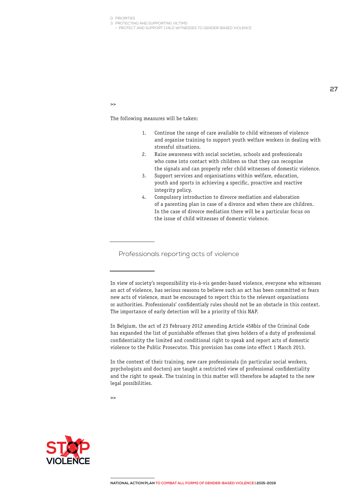3. PROTECTING AND SUPPORTING VICTIMS

> PROTECT AND SUPPORT CHILD WITNESSES TO GENDER-BASED VIOLENCE

 $\rightarrow$ 

The following measures will be taken:

- 1. Continue the range of care available to child witnesses of violence and organise training to support youth welfare workers in dealing with stressful situations.
- 2. Raise awareness with social societies, schools and professionals who come into contact with children so that they can recognise the signals and can properly refer child witnesses of domestic violence.
- 3. Support services and organisations within welfare, education, youth and sports in achieving a specific, proactive and reactive integrity policy.
- 4. Compulsory introduction to divorce mediation and elaboration of a parenting plan in case of a divorce and when there are children. In the case of divorce mediation there will be a particular focus on the issue of child witnesses of domestic violence.

Professionals reporting acts of violence

In Belgium, the act of 23 February 2012 amending Article 458bis of the Criminal Code has expanded the list of punishable offenses that gives holders of a duty of professional confidentiality the limited and conditional right to speak and report acts of domestic violence to the Public Prosecutor. This provision has come into effect 1 March 2013.

In the context of their training, new care professionals (in particular social workers, psychologists and doctors) are taught a restricted view of professional confidentiality and the right to speak. The training in this matter will therefore be adapted to the new legal possibilities.

 $\sim$ 



In view of society's responsibility vis-à-vis gender-based violence, everyone who witnesses an act of violence, has serious reasons to believe such an act has been committed or fears new acts of violence, must be encouraged to report this to the relevant organisations or authorities. Professionals' confidentialy rules should not be an obstacle in this context. The importance of early detection will be a priority of this NAP.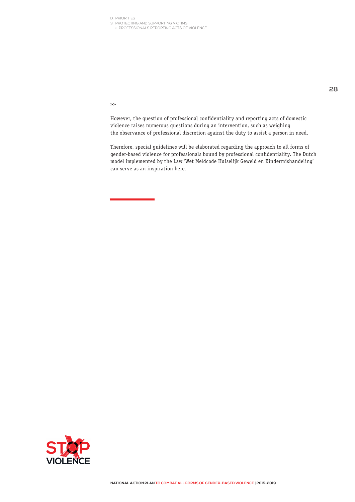3. PROTECTING AND SUPPORTING VICTIMS

> PROFESSIONALS REPORTING ACTS OF VIOLENCE

>>

However, the question of professional confidentiality and reporting acts of domestic violence raises numerous questions during an intervention, such as weighing the observance of professional discretion against the duty to assist a person in need.

Therefore, special guidelines will be elaborated regarding the approach to all forms of gender-based violence for professionals bound by professional confidentiality. The Dutch model implemented by the Law 'Wet Meldcode Huiselijk Geweld en Kindermishandeling' can serve as an inspiration here.

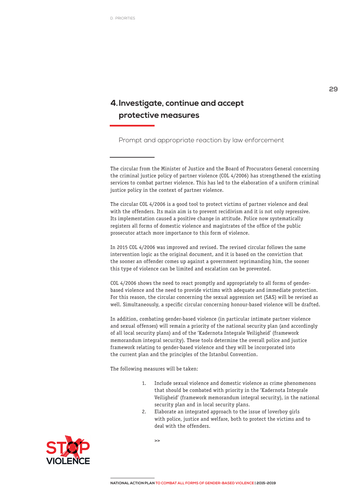### **4.Investigate, continue and accept protective measures**

Prompt and appropriate reaction by law enforcement

The circular from the Minister of Justice and the Board of Procurators General concerning the criminal justice policy of partner violence (COL 4/2006) has strengthened the existing services to combat partner violence. This has led to the elaboration of a uniform criminal justice policy in the context of partner violence.

The circular COL 4/2006 is a good tool to protect victims of partner violence and deal with the offenders. Its main aim is to prevent recidivism and it is not only repressive. Its implementation caused a positive change in attitude. Police now systematically registers all forms of domestic violence and magistrates of the office of the public prosecutor attach more importance to this form of violence.

In 2015 COL 4/2006 was improved and revised. The revised circular follows the same intervention logic as the original document, and it is based on the conviction that the sooner an offender comes up against a government reprimanding him, the sooner this type of violence can be limited and escalation can be prevented.

COL 4/2006 shows the need to react promptly and appropriately to all forms of genderbased violence and the need to provide victims with adequate and immediate protection. For this reason, the circular concerning the sexual aggression set (SAS) will be revised as well. Simultaneously, a specific circular concerning honour-based violence will be drafted.

In addition, combating gender-based violence (in particular intimate partner violence and sexual offenses) will remain a priority of the national security plan (and accordingly of all local security plans) and of the 'Kadernota Integrale Veiligheid' (framework memorandum integral security). These tools determine the overall police and justice framework relating to gender-based violence and they will be incorporated into the current plan and the principles of the Istanbul Convention.

The following measures will be taken:

- 1. Include sexual violence and domestic violence as crime phenomenons that should be combated with priority in the 'Kadernota Integrale Veiligheid' (framework memorandum integral security), in the national security plan and in local security plans.
- 2. Elaborate an integrated approach to the issue of loverboy girls with police, justice and welfare, both to protect the victims and to deal with the offenders.

 $\rightarrow$ 



**29**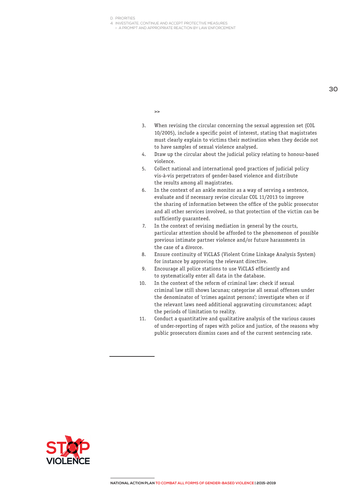4. INVESTIGATE, CONTINUE AND ACCEPT PROTECTIVE MEASURES

> A PROMPT AND APPROPRIATE REACTION BY LAW ENFORCEMENT

 $\rightarrow$ 

3. When revising the circular concerning the sexual aggression set (COL 10/2005), include a specific point of interest, stating that magistrates

to have samples of sexual violence analysed. 4. Draw up the circular about the judicial policy relating to honour-based violence.

must clearly explain to victims their motivation when they decide not

- 5. Collect national and international good practices of judicial policy vis-à-vis perpetrators of gender-based violence and distribute the results among all magistrates.
- 6. In the context of an ankle monitor as a way of serving a sentence, evaluate and if necessary revise circular COL 11/2013 to improve the sharing of information between the office of the public prosecutor and all other services involved, so that protection of the victim can be sufficiently guaranteed.
- 7. In the context of revising mediation in general by the courts, particular attention should be afforded to the phenomenon of possible previous intimate partner violence and/or future harassments in the case of a divorce.
- 8. Ensure continuity of ViCLAS (Violent Crime Linkage Analysis System) for instance by approving the relevant directive.
- 9. Encourage all police stations to use ViCLAS efficiently and to systematically enter all data in the database.
- 10. In the context of the reform of criminal law: check if sexual criminal law still shows lacunas; categorise all sexual offenses under the denominator of 'crimes against persons'; investigate when or if the relevant laws need additional aggravating circumstances; adapt the periods of limitation to reality.
- 11. Conduct a quantitative and qualitative analysis of the various causes of under-reporting of rapes with police and justice, of the reasons why public prosecutors dismiss cases and of the current sentencing rate.

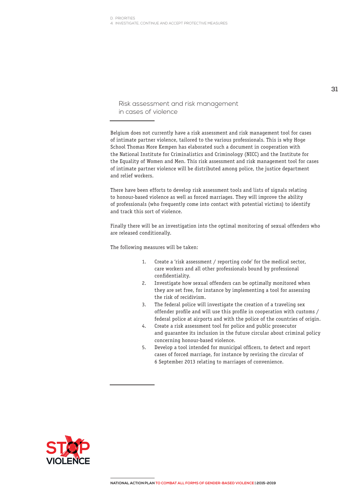Risk assessment and risk management in cases of violence

Belgium does not currently have a risk assessment and risk management tool for cases of intimate partner violence, tailored to the various professionals. This is why Hoge School Thomas More Kempen has elaborated such a document in cooperation with the National Institute for Criminalistics and Criminology (NICC) and the Institute for the Equality of Women and Men. This risk assessment and risk management tool for cases of intimate partner violence will be distributed among police, the justice department and relief workers.

There have been efforts to develop risk assessment tools and lists of signals relating to honour-based violence as well as forced marriages. They will improve the ability of professionals (who frequently come into contact with potential victims) to identify and track this sort of violence.

Finally there will be an investigation into the optimal monitoring of sexual offenders who are released conditionally.

- 1. Create a 'risk assessment / reporting code' for the medical sector, care workers and all other professionals bound by professional confidentiality.
- 2. Investigate how sexual offenders can be optimally monitored when they are set free, for instance by implementing a tool for assessing the risk of recidivism.
- 3. The federal police will investigate the creation of a traveling sex offender profile and will use this profile in cooperation with customs / federal police at airports and with the police of the countries of origin.
- 4. Create a risk assessment tool for police and public prosecutor and guarantee its inclusion in the future circular about criminal policy concerning honour-based violence.
- 5. Develop a tool intended for municipal officers, to detect and report cases of forced marriage, for instance by revising the circular of 6 September 2013 relating to marriages of convenience.

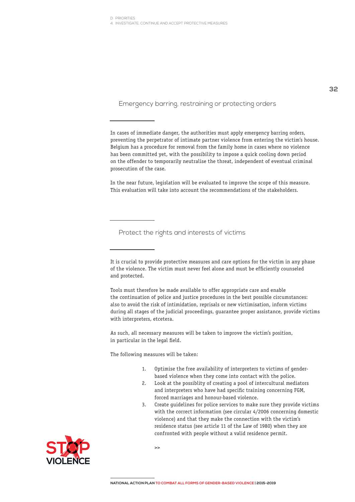Emergency barring, restraining or protecting orders

In cases of immediate danger, the authorities must apply emergency barring orders, preventing the perpetrator of intimate partner violence from entering the victim's house. Belgium has a procedure for removal from the family home in cases where no violence has been committed yet, with the possibility to impose a quick cooling down period on the offender to temporarily neutralise the threat, independent of eventual criminal prosecution of the case.

In the near future, legislation will be evaluated to improve the scope of this measure. This evaluation will take into account the recommendations of the stakeholders.

Protect the rights and interests of victims

Tools must therefore be made available to offer appropriate care and enable the continuation of police and justice procedures in the best possible circumstances: also to avoid the risk of intimidation, reprisals or new victimisation, inform victims during all stages of the judicial proceedings, guarantee proper assistance, provide victims with interpreters, etcetera.

As such, all necessary measures will be taken to improve the victim's position, in particular in the legal field.

- 1. Optimise the free availability of interpreters to victims of genderbased violence when they come into contact with the police.
- 2. Look at the possiblity of creating a pool of intercultural mediators and interpreters who have had specific training concerning FGM, forced marriages and honour-based violence.
- 3. Create guidelines for police services to make sure they provide victims with the correct information (see circular 4/2006 concerning domestic violence) and that they make the connection with the victim's residence status (see article 11 of the Law of 1980) when they are confronted with people without a valid residence permit.



It is crucial to provide protective measures and care options for the victim in any phase of the violence. The victim must never feel alone and must be efficiently counseled and protected.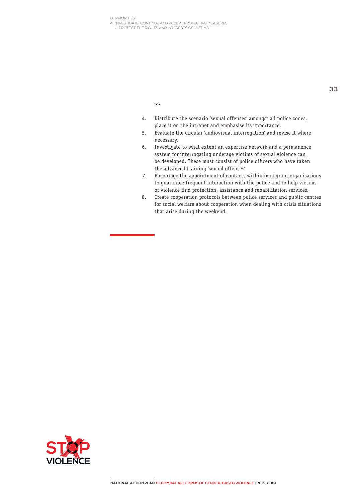- 4. INVESTIGATE, CONTINUE AND ACCEPT PROTECTIVE MEASURES
	- > PROTECT THE RIGHTS AND INTERESTS OF VICTIMS

 $\rightarrow$ 

- 4. Distribute the scenario 'sexual offenses' amongst all police zones, place it on the intranet and emphasise its importance.
- 5. Evaluate the circular 'audiovisual interrogation' and revise it where necessary.
- 6. Investigate to what extent an expertise network and a permanence system for interrogating underage victims of sexual violence can be developed. These must consist of police officers who have taken the advanced training 'sexual offenses'.
- 7. Encourage the appointment of contacts within immigrant organisations to guarantee frequent interaction with the police and to help victims of violence find protection, assistance and rehabilitation services.
- 8. Create cooperation protocols between police services and public centres for social welfare about cooperation when dealing with crisis situations that arise during the weekend.

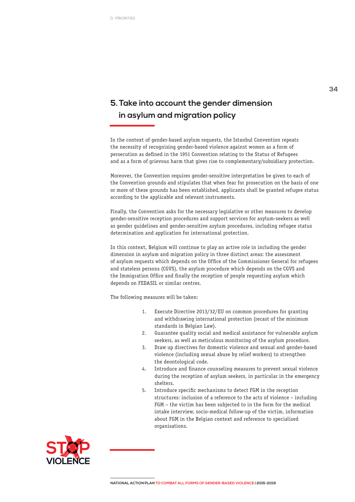### **5.Take into account the gender dimension in asylum and migration policy**

In the context of gender-based asylum requests, the Istanbul Convention repeats the necessity of recognising gender-based violence against women as a form of persecution as defined in the 1951 Convention relating to the Status of Refugees and as a form of grievous harm that gives rise to complementary/subsidiary protection.

Moreover, the Convention requires gender-sensitive interpretation be given to each of the Convention grounds and stipulates that when fear for prosecution on the basis of one or more of these grounds has been established, applicants shall be granted refugee status according to the applicable and relevant instruments.

Finally, the Convention asks for the necessary legislative or other measures to develop gender-sensitive reception procedures and support services for asylum-seekers as well as gender guidelines and gender-sensitive asylum procedures, including refugee status determination and application for international protection.

In this context, Belgium will continue to play an active role in including the gender dimension in asylum and migration policy in three distinct areas: the assessment of asylum requests which depends on the Office of the Commissioner General for refugees and stateless persons (CGVS), the asylum procedure which depends on the CGVS and the Immigration Office and finally the reception of people requesting asylum which depends on FEDASIL or similar centres.

- 1. Execute Directive 2013/32/EU on common procedures for granting and withdrawing international protection (recast of the minimum standards in Belgian Law).
- 2. Guarantee quality social and medical assistance for vulnerable asylum seekers, as well as meticulous monitoring of the asylum procedure.
- 3. Draw up directives for domestic violence and sexual and gender-based violence (including sexual abuse by relief workers) to strengthen the deontological code.
- 4. Introduce and finance counseling measures to prevent sexual violence during the reception of asylum seekers, in particular in the emergency shelters.
- 5. Introduce specific mechanisms to detect FGM in the reception structures: inclusion of a reference to the acts of violence – including FGM – the victim has been subjected to in the form for the medical intake interview, socio-medical follow-up of the victim, information about FGM in the Belgian context and reference to specialised organisations.